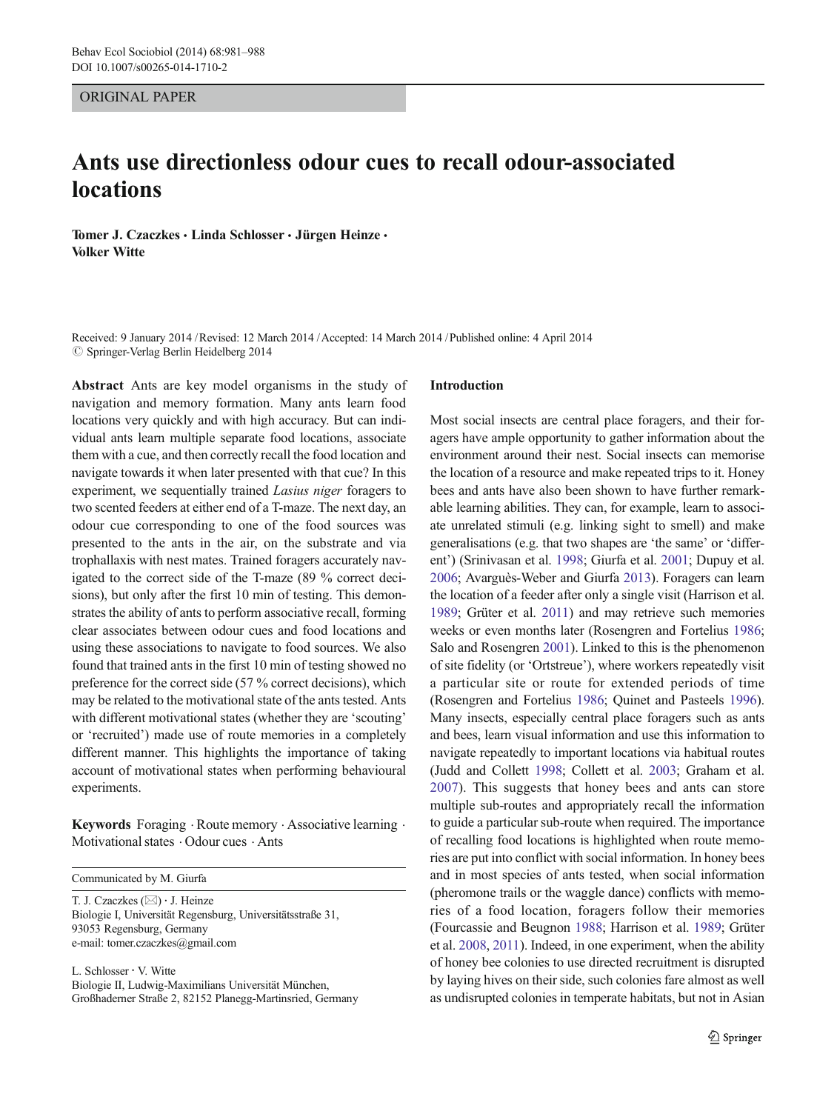#### ORIGINAL PAPER

# Ants use directionless odour cues to recall odour-associated locations

Tomer J. Czaczkes · Linda Schlosser · Jürgen Heinze · Volker Witte

Received: 9 January 2014 /Revised: 12 March 2014 /Accepted: 14 March 2014 /Published online: 4 April 2014  $\oslash$  Springer-Verlag Berlin Heidelberg 2014

Abstract Ants are key model organisms in the study of navigation and memory formation. Many ants learn food locations very quickly and with high accuracy. But can individual ants learn multiple separate food locations, associate them with a cue, and then correctly recall the food location and navigate towards it when later presented with that cue? In this experiment, we sequentially trained Lasius niger foragers to two scented feeders at either end of a T-maze. The next day, an odour cue corresponding to one of the food sources was presented to the ants in the air, on the substrate and via trophallaxis with nest mates. Trained foragers accurately navigated to the correct side of the T-maze (89 % correct decisions), but only after the first 10 min of testing. This demonstrates the ability of ants to perform associative recall, forming clear associates between odour cues and food locations and using these associations to navigate to food sources. We also found that trained ants in the first 10 min of testing showed no preference for the correct side (57 % correct decisions), which may be related to the motivational state of the ants tested. Ants with different motivational states (whether they are 'scouting' or 'recruited') made use of route memories in a completely different manner. This highlights the importance of taking account of motivational states when performing behavioural experiments.

Keywords Foraging . Route memory . Associative learning . Motivational states  $\cdot$  Odour cues  $\cdot$  Ants

Communicated by M. Giurfa

T. J. Czaczkes ( $\boxtimes$ ) · J. Heinze Biologie I, Universität Regensburg, Universitätsstraße 31, 93053 Regensburg, Germany e-mail: tomer.czaczkes@gmail.com

L. Schlosser : V. Witte Biologie II, Ludwig-Maximilians Universität München, Großhaderner Straße 2, 82152 Planegg-Martinsried, Germany

#### Introduction

Most social insects are central place foragers, and their foragers have ample opportunity to gather information about the environment around their nest. Social insects can memorise the location of a resource and make repeated trips to it. Honey bees and ants have also been shown to have further remarkable learning abilities. They can, for example, learn to associate unrelated stimuli (e.g. linking sight to smell) and make generalisations (e.g. that two shapes are 'the same' or 'different') (Srinivasan et al. [1998](#page-7-0); Giurfa et al. [2001](#page-6-0); Dupuy et al. [2006;](#page-6-0) Avarguès-Weber and Giurfa [2013](#page-6-0)). Foragers can learn the location of a feeder after only a single visit (Harrison et al. [1989;](#page-7-0) Grüter et al. [2011\)](#page-7-0) and may retrieve such memories weeks or even months later (Rosengren and Fortelius [1986;](#page-7-0) Salo and Rosengren [2001](#page-7-0)). Linked to this is the phenomenon of site fidelity (or 'Ortstreue'), where workers repeatedly visit a particular site or route for extended periods of time (Rosengren and Fortelius [1986;](#page-7-0) Quinet and Pasteels [1996\)](#page-7-0). Many insects, especially central place foragers such as ants and bees, learn visual information and use this information to navigate repeatedly to important locations via habitual routes (Judd and Collett [1998](#page-7-0); Collett et al. [2003](#page-6-0); Graham et al. [2007](#page-6-0)). This suggests that honey bees and ants can store multiple sub-routes and appropriately recall the information to guide a particular sub-route when required. The importance of recalling food locations is highlighted when route memories are put into conflict with social information. In honey bees and in most species of ants tested, when social information (pheromone trails or the waggle dance) conflicts with memories of a food location, foragers follow their memories (Fourcassie and Beugnon [1988;](#page-6-0) Harrison et al. [1989](#page-7-0); Grüter et al. [2008](#page-7-0), [2011](#page-7-0)). Indeed, in one experiment, when the ability of honey bee colonies to use directed recruitment is disrupted by laying hives on their side, such colonies fare almost as well as undisrupted colonies in temperate habitats, but not in Asian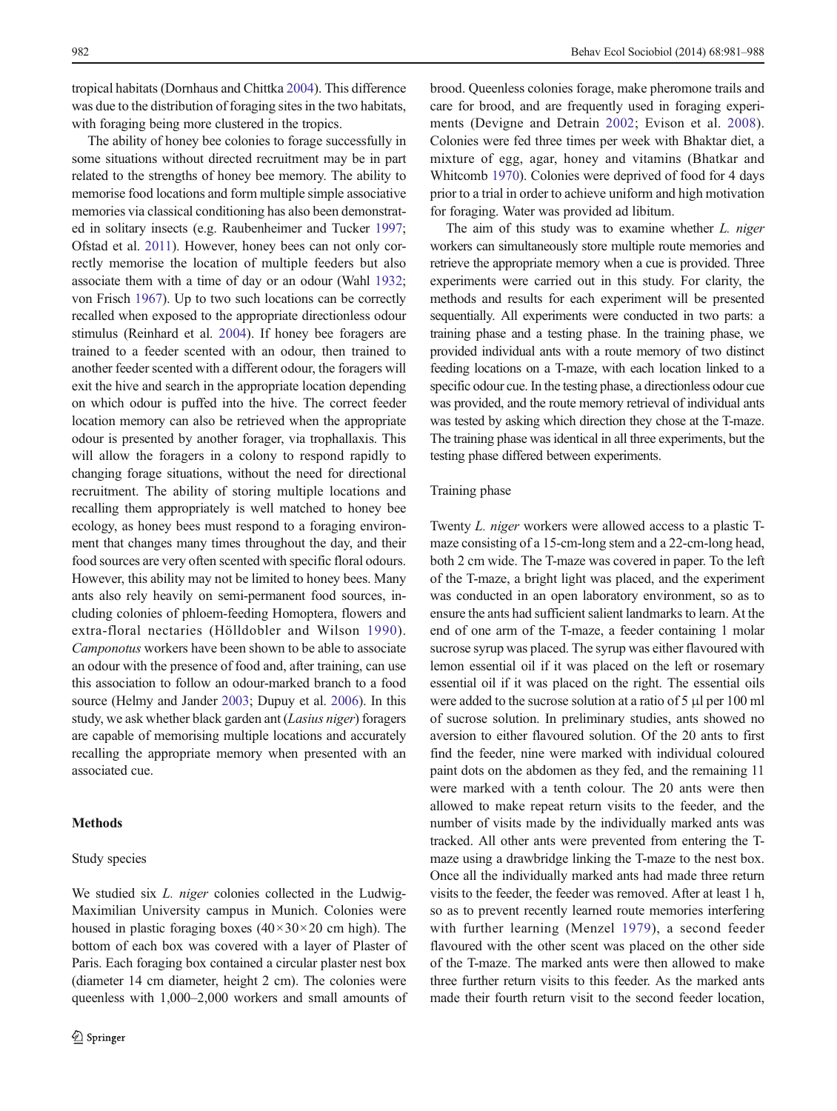tropical habitats (Dornhaus and Chittka [2004](#page-6-0)). This difference was due to the distribution of foraging sites in the two habitats, with foraging being more clustered in the tropics.

The ability of honey bee colonies to forage successfully in some situations without directed recruitment may be in part related to the strengths of honey bee memory. The ability to memorise food locations and form multiple simple associative memories via classical conditioning has also been demonstrated in solitary insects (e.g. Raubenheimer and Tucker [1997](#page-7-0); Ofstad et al. [2011](#page-7-0)). However, honey bees can not only correctly memorise the location of multiple feeders but also associate them with a time of day or an odour (Wahl [1932](#page-7-0); von Frisch [1967](#page-7-0)). Up to two such locations can be correctly recalled when exposed to the appropriate directionless odour stimulus (Reinhard et al. [2004](#page-7-0)). If honey bee foragers are trained to a feeder scented with an odour, then trained to another feeder scented with a different odour, the foragers will exit the hive and search in the appropriate location depending on which odour is puffed into the hive. The correct feeder location memory can also be retrieved when the appropriate odour is presented by another forager, via trophallaxis. This will allow the foragers in a colony to respond rapidly to changing forage situations, without the need for directional recruitment. The ability of storing multiple locations and recalling them appropriately is well matched to honey bee ecology, as honey bees must respond to a foraging environment that changes many times throughout the day, and their food sources are very often scented with specific floral odours. However, this ability may not be limited to honey bees. Many ants also rely heavily on semi-permanent food sources, including colonies of phloem-feeding Homoptera, flowers and extra-floral nectaries (Hölldobler and Wilson [1990\)](#page-7-0). Camponotus workers have been shown to be able to associate an odour with the presence of food and, after training, can use this association to follow an odour-marked branch to a food source (Helmy and Jander [2003](#page-7-0); Dupuy et al. [2006](#page-6-0)). In this study, we ask whether black garden ant (Lasius niger) foragers are capable of memorising multiple locations and accurately recalling the appropriate memory when presented with an associated cue.

## **Methods**

#### Study species

We studied six *L. niger* colonies collected in the Ludwig-Maximilian University campus in Munich. Colonies were housed in plastic foraging boxes  $(40 \times 30 \times 20$  cm high). The bottom of each box was covered with a layer of Plaster of Paris. Each foraging box contained a circular plaster nest box (diameter 14 cm diameter, height 2 cm). The colonies were queenless with 1,000–2,000 workers and small amounts of

brood. Queenless colonies forage, make pheromone trails and care for brood, and are frequently used in foraging experiments (Devigne and Detrain [2002;](#page-6-0) Evison et al. [2008](#page-6-0)). Colonies were fed three times per week with Bhaktar diet, a mixture of egg, agar, honey and vitamins (Bhatkar and Whitcomb [1970\)](#page-6-0). Colonies were deprived of food for 4 days prior to a trial in order to achieve uniform and high motivation for foraging. Water was provided ad libitum.

The aim of this study was to examine whether *L. niger* workers can simultaneously store multiple route memories and retrieve the appropriate memory when a cue is provided. Three experiments were carried out in this study. For clarity, the methods and results for each experiment will be presented sequentially. All experiments were conducted in two parts: a training phase and a testing phase. In the training phase, we provided individual ants with a route memory of two distinct feeding locations on a T-maze, with each location linked to a specific odour cue. In the testing phase, a directionless odour cue was provided, and the route memory retrieval of individual ants was tested by asking which direction they chose at the T-maze. The training phase was identical in all three experiments, but the testing phase differed between experiments.

#### Training phase

Twenty L. niger workers were allowed access to a plastic Tmaze consisting of a 15-cm-long stem and a 22-cm-long head, both 2 cm wide. The T-maze was covered in paper. To the left of the T-maze, a bright light was placed, and the experiment was conducted in an open laboratory environment, so as to ensure the ants had sufficient salient landmarks to learn. At the end of one arm of the T-maze, a feeder containing 1 molar sucrose syrup was placed. The syrup was either flavoured with lemon essential oil if it was placed on the left or rosemary essential oil if it was placed on the right. The essential oils were added to the sucrose solution at a ratio of 5 μl per 100 ml of sucrose solution. In preliminary studies, ants showed no aversion to either flavoured solution. Of the 20 ants to first find the feeder, nine were marked with individual coloured paint dots on the abdomen as they fed, and the remaining 11 were marked with a tenth colour. The 20 ants were then allowed to make repeat return visits to the feeder, and the number of visits made by the individually marked ants was tracked. All other ants were prevented from entering the Tmaze using a drawbridge linking the T-maze to the nest box. Once all the individually marked ants had made three return visits to the feeder, the feeder was removed. After at least 1 h, so as to prevent recently learned route memories interfering with further learning (Menzel [1979\)](#page-7-0), a second feeder flavoured with the other scent was placed on the other side of the T-maze. The marked ants were then allowed to make three further return visits to this feeder. As the marked ants made their fourth return visit to the second feeder location,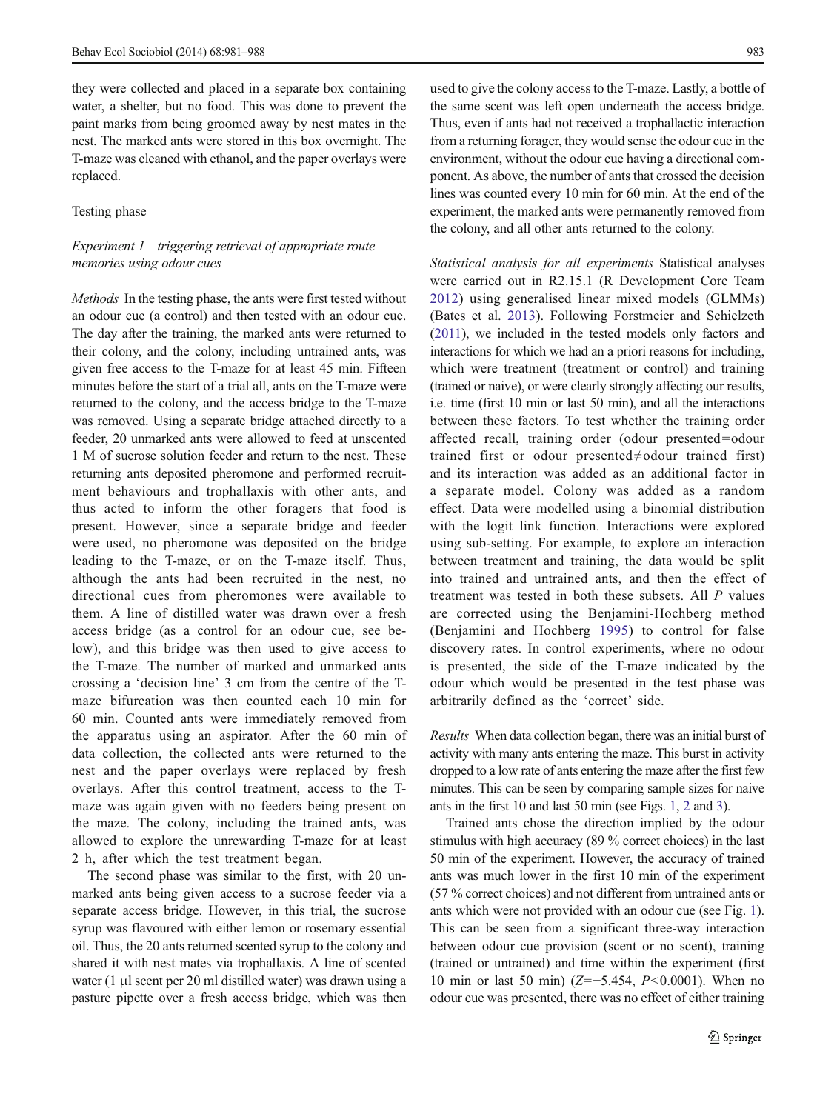they were collected and placed in a separate box containing water, a shelter, but no food. This was done to prevent the paint marks from being groomed away by nest mates in the nest. The marked ants were stored in this box overnight. The T-maze was cleaned with ethanol, and the paper overlays were replaced.

#### Testing phase

# Experiment 1—triggering retrieval of appropriate route memories using odour cues

Methods In the testing phase, the ants were first tested without an odour cue (a control) and then tested with an odour cue. The day after the training, the marked ants were returned to their colony, and the colony, including untrained ants, was given free access to the T-maze for at least 45 min. Fifteen minutes before the start of a trial all, ants on the T-maze were returned to the colony, and the access bridge to the T-maze was removed. Using a separate bridge attached directly to a feeder, 20 unmarked ants were allowed to feed at unscented 1 M of sucrose solution feeder and return to the nest. These returning ants deposited pheromone and performed recruitment behaviours and trophallaxis with other ants, and thus acted to inform the other foragers that food is present. However, since a separate bridge and feeder were used, no pheromone was deposited on the bridge leading to the T-maze, or on the T-maze itself. Thus, although the ants had been recruited in the nest, no directional cues from pheromones were available to them. A line of distilled water was drawn over a fresh access bridge (as a control for an odour cue, see below), and this bridge was then used to give access to the T-maze. The number of marked and unmarked ants crossing a 'decision line' 3 cm from the centre of the Tmaze bifurcation was then counted each 10 min for 60 min. Counted ants were immediately removed from the apparatus using an aspirator. After the 60 min of data collection, the collected ants were returned to the nest and the paper overlays were replaced by fresh overlays. After this control treatment, access to the Tmaze was again given with no feeders being present on the maze. The colony, including the trained ants, was allowed to explore the unrewarding T-maze for at least 2 h, after which the test treatment began.

The second phase was similar to the first, with 20 unmarked ants being given access to a sucrose feeder via a separate access bridge. However, in this trial, the sucrose syrup was flavoured with either lemon or rosemary essential oil. Thus, the 20 ants returned scented syrup to the colony and shared it with nest mates via trophallaxis. A line of scented water  $(1 \mu l)$  scent per 20 ml distilled water) was drawn using a pasture pipette over a fresh access bridge, which was then

used to give the colony access to the T-maze. Lastly, a bottle of the same scent was left open underneath the access bridge. Thus, even if ants had not received a trophallactic interaction from a returning forager, they would sense the odour cue in the environment, without the odour cue having a directional component. As above, the number of ants that crossed the decision lines was counted every 10 min for 60 min. At the end of the experiment, the marked ants were permanently removed from the colony, and all other ants returned to the colony.

Statistical analysis for all experiments Statistical analyses were carried out in R2.15.1 (R Development Core Team [2012\)](#page-7-0) using generalised linear mixed models (GLMMs) (Bates et al. [2013](#page-6-0)). Following Forstmeier and Schielzeth [\(2011\)](#page-6-0), we included in the tested models only factors and interactions for which we had an a priori reasons for including, which were treatment (treatment or control) and training (trained or naive), or were clearly strongly affecting our results, i.e. time (first 10 min or last 50 min), and all the interactions between these factors. To test whether the training order affected recall, training order (odour presented=odour trained first or odour presented≠odour trained first) and its interaction was added as an additional factor in a separate model. Colony was added as a random effect. Data were modelled using a binomial distribution with the logit link function. Interactions were explored using sub-setting. For example, to explore an interaction between treatment and training, the data would be split into trained and untrained ants, and then the effect of treatment was tested in both these subsets. All P values are corrected using the Benjamini-Hochberg method (Benjamini and Hochberg [1995](#page-6-0)) to control for false discovery rates. In control experiments, where no odour is presented, the side of the T-maze indicated by the odour which would be presented in the test phase was arbitrarily defined as the 'correct' side.

Results When data collection began, there was an initial burst of activity with many ants entering the maze. This burst in activity dropped to a low rate of ants entering the maze after the first few minutes. This can be seen by comparing sample sizes for naive ants in the first 10 and last 50 min (see Figs. [1](#page-3-0), [2](#page-3-0) and [3\)](#page-4-0).

Trained ants chose the direction implied by the odour stimulus with high accuracy (89 % correct choices) in the last 50 min of the experiment. However, the accuracy of trained ants was much lower in the first 10 min of the experiment (57 % correct choices) and not different from untrained ants or ants which were not provided with an odour cue (see Fig. [1\)](#page-3-0). This can be seen from a significant three-way interaction between odour cue provision (scent or no scent), training (trained or untrained) and time within the experiment (first 10 min or last 50 min) (Z=−5.454, P<0.0001). When no odour cue was presented, there was no effect of either training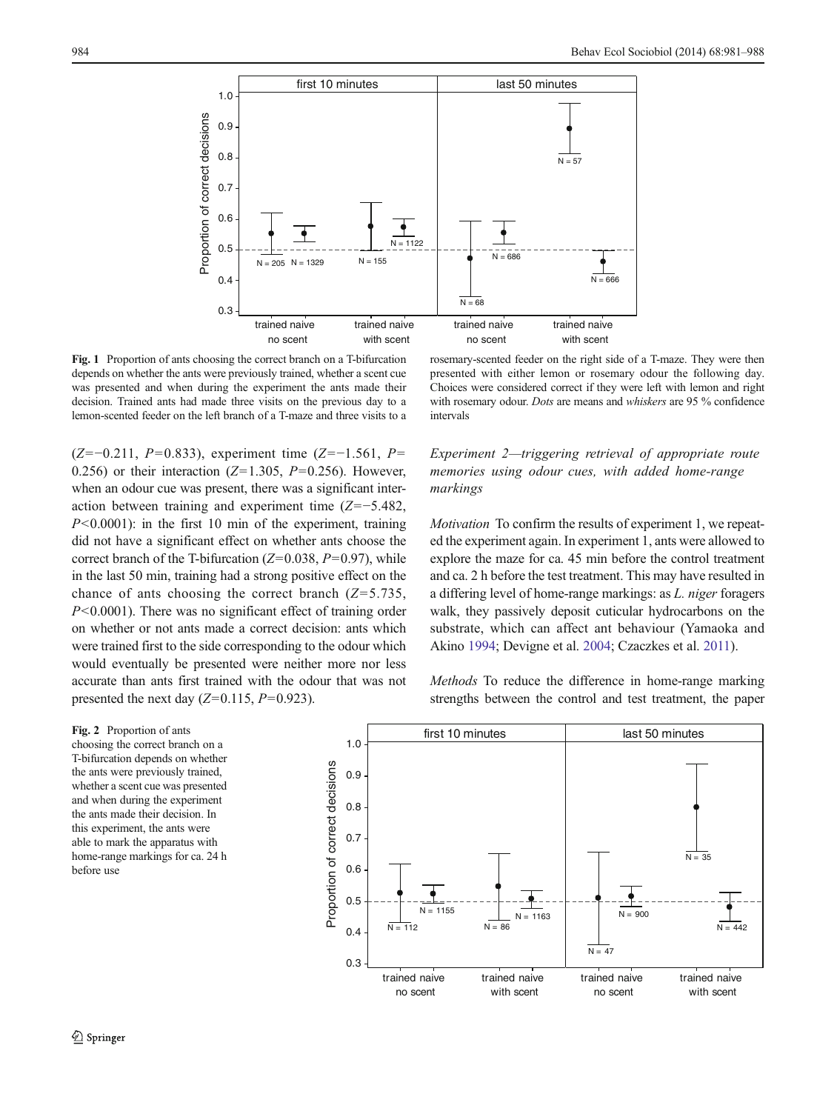<span id="page-3-0"></span>

Fig. 1 Proportion of ants choosing the correct branch on a T-bifurcation depends on whether the ants were previously trained, whether a scent cue was presented and when during the experiment the ants made their decision. Trained ants had made three visits on the previous day to a lemon-scented feeder on the left branch of a T-maze and three visits to a

 $(Z=-0.211, P=0.833)$ , experiment time  $(Z=-1.561, P=$ 0.256) or their interaction ( $Z=1.305$ ,  $P=0.256$ ). However, when an odour cue was present, there was a significant interaction between training and experiment time (Z=−5.482,  $P<0.0001$ ): in the first 10 min of the experiment, training did not have a significant effect on whether ants choose the correct branch of the T-bifurcation ( $Z=0.038$ ,  $P=0.97$ ), while in the last 50 min, training had a strong positive effect on the chance of ants choosing the correct branch  $(Z=5.735,$  $P<0.0001$ ). There was no significant effect of training order on whether or not ants made a correct decision: ants which were trained first to the side corresponding to the odour which would eventually be presented were neither more nor less accurate than ants first trained with the odour that was not presented the next day  $(Z=0.115, P=0.923)$ .

rosemary-scented feeder on the right side of a T-maze. They were then presented with either lemon or rosemary odour the following day. Choices were considered correct if they were left with lemon and right with rosemary odour. Dots are means and whiskers are 95 % confidence intervals

# Experiment 2—triggering retrieval of appropriate route memories using odour cues, with added home-range markings

Motivation To confirm the results of experiment 1, we repeated the experiment again. In experiment 1, ants were allowed to explore the maze for ca. 45 min before the control treatment and ca. 2 h before the test treatment. This may have resulted in a differing level of home-range markings: as L. niger foragers walk, they passively deposit cuticular hydrocarbons on the substrate, which can affect ant behaviour (Yamaoka and Akino [1994;](#page-7-0) Devigne et al. [2004;](#page-6-0) Czaczkes et al. [2011\)](#page-6-0).

Methods To reduce the difference in home-range marking strengths between the control and test treatment, the paper

Fig. 2 Proportion of ants choosing the correct branch on a T-bifurcation depends on whether the ants were previously trained, whether a scent cue was presented and when during the experiment the ants made their decision. In this experiment, the ants were able to mark the apparatus with home-range markings for ca. 24 h before use

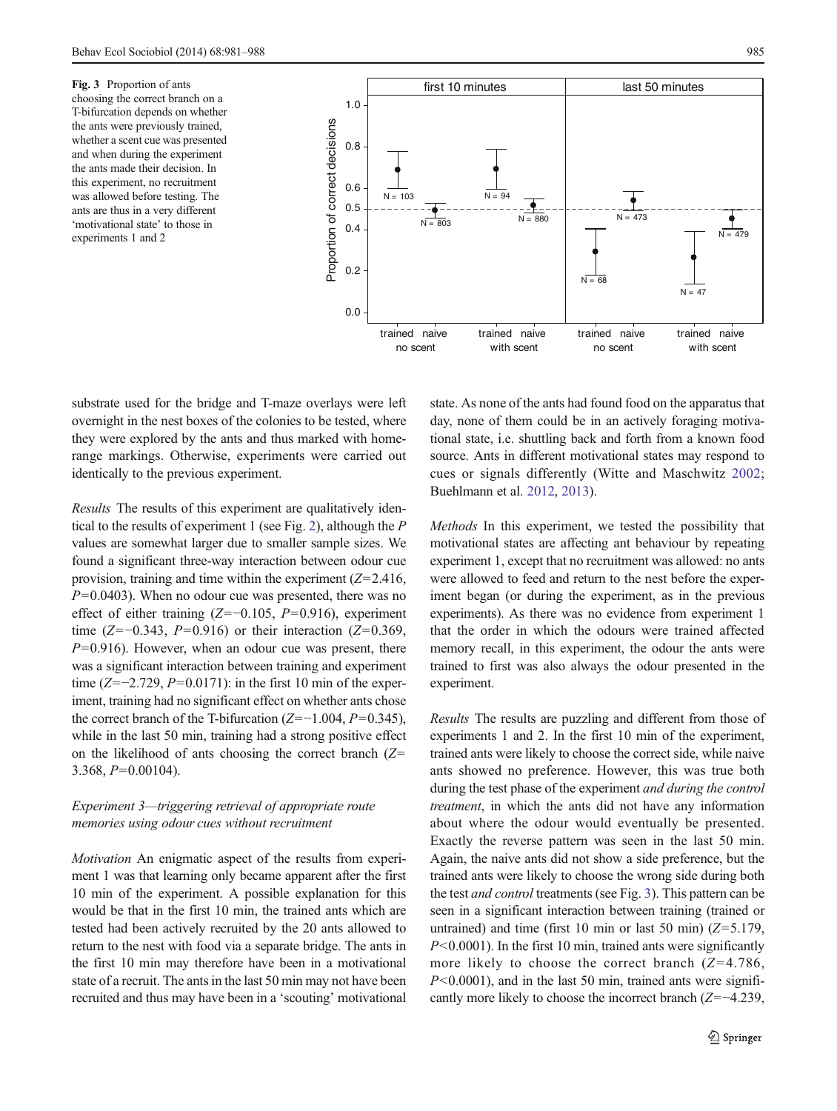<span id="page-4-0"></span>Fig. 3 Proportion of ants choosing the correct branch on a T-bifurcation depends on whether the ants were previously trained, whether a scent cue was presented and when during the experiment the ants made their decision. In this experiment, no recruitment was allowed before testing. The ants are thus in a very different 'motivational state' to those in experiments 1 and 2



substrate used for the bridge and T-maze overlays were left overnight in the nest boxes of the colonies to be tested, where they were explored by the ants and thus marked with homerange markings. Otherwise, experiments were carried out identically to the previous experiment.

Results The results of this experiment are qualitatively identical to the results of experiment 1 (see Fig. [2\)](#page-3-0), although the P values are somewhat larger due to smaller sample sizes. We found a significant three-way interaction between odour cue provision, training and time within the experiment  $(Z=2.416$ ,  $P=0.0403$ ). When no odour cue was presented, there was no effect of either training ( $Z=-0.105$ ,  $P=0.916$ ), experiment time ( $Z=-0.343, P=0.916$ ) or their interaction ( $Z=0.369$ ,  $P=0.916$ ). However, when an odour cue was present, there was a significant interaction between training and experiment time ( $Z=-2.729$ ,  $P=0.0171$ ): in the first 10 min of the experiment, training had no significant effect on whether ants chose the correct branch of the T-bifurcation ( $Z=-1.004$ ,  $P=0.345$ ), while in the last 50 min, training had a strong positive effect on the likelihood of ants choosing the correct branch  $(Z=$ 3.368,  $P=0.00104$ ).

## Experiment 3—triggering retrieval of appropriate route memories using odour cues without recruitment

Motivation An enigmatic aspect of the results from experiment 1 was that learning only became apparent after the first 10 min of the experiment. A possible explanation for this would be that in the first 10 min, the trained ants which are tested had been actively recruited by the 20 ants allowed to return to the nest with food via a separate bridge. The ants in the first 10 min may therefore have been in a motivational state of a recruit. The ants in the last 50 min may not have been recruited and thus may have been in a 'scouting' motivational state. As none of the ants had found food on the apparatus that day, none of them could be in an actively foraging motivational state, i.e. shuttling back and forth from a known food source. Ants in different motivational states may respond to cues or signals differently (Witte and Maschwitz [2002;](#page-7-0) Buehlmann et al. [2012,](#page-6-0) [2013](#page-6-0)).

Methods In this experiment, we tested the possibility that motivational states are affecting ant behaviour by repeating experiment 1, except that no recruitment was allowed: no ants were allowed to feed and return to the nest before the experiment began (or during the experiment, as in the previous experiments). As there was no evidence from experiment 1 that the order in which the odours were trained affected memory recall, in this experiment, the odour the ants were trained to first was also always the odour presented in the experiment.

Results The results are puzzling and different from those of experiments 1 and 2. In the first 10 min of the experiment, trained ants were likely to choose the correct side, while naive ants showed no preference. However, this was true both during the test phase of the experiment and during the control treatment, in which the ants did not have any information about where the odour would eventually be presented. Exactly the reverse pattern was seen in the last 50 min. Again, the naive ants did not show a side preference, but the trained ants were likely to choose the wrong side during both the test and control treatments (see Fig. 3). This pattern can be seen in a significant interaction between training (trained or untrained) and time (first 10 min or last 50 min)  $(Z=5.179)$ ,  $P<0.0001$ ). In the first 10 min, trained ants were significantly more likely to choose the correct branch  $(Z=4.786,$  $P<0.0001$ , and in the last 50 min, trained ants were significantly more likely to choose the incorrect branch (Z=−4.239,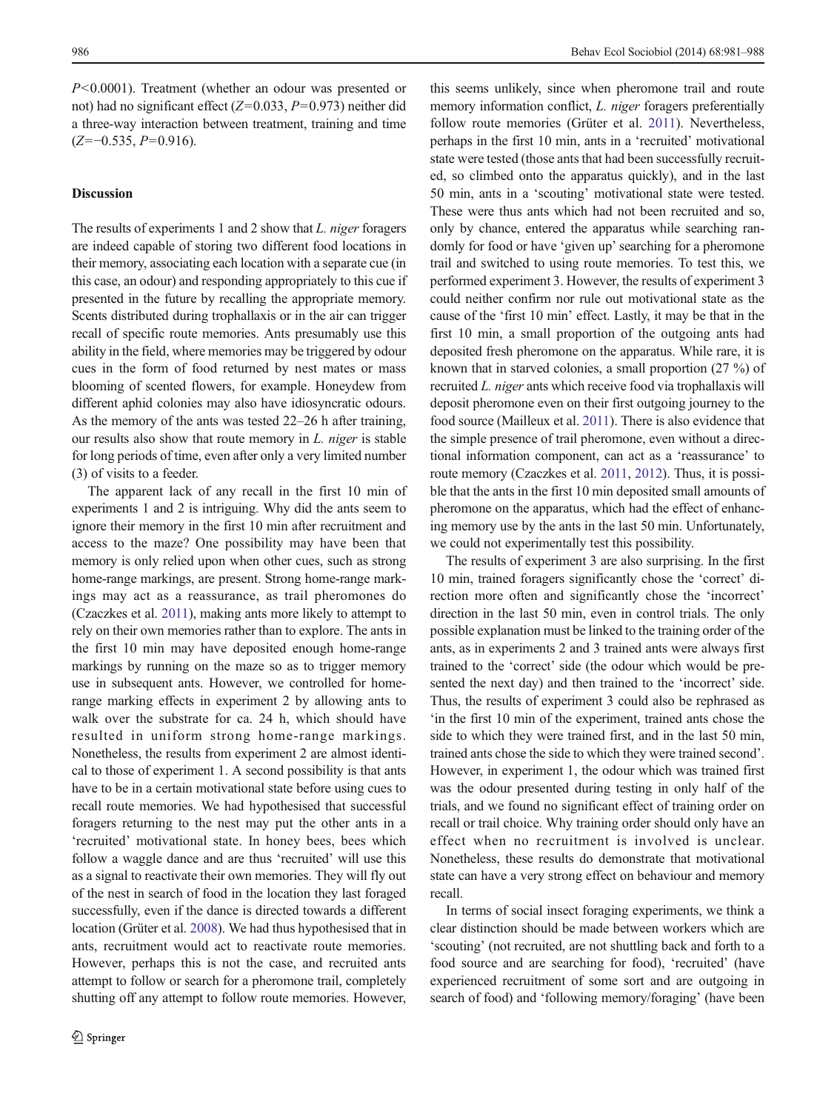P<0.0001). Treatment (whether an odour was presented or not) had no significant effect ( $Z=0.033$ ,  $P=0.973$ ) neither did a three-way interaction between treatment, training and time  $(Z=-0.535, P=0.916)$ .

## **Discussion**

The results of experiments 1 and 2 show that *L. niger* foragers are indeed capable of storing two different food locations in their memory, associating each location with a separate cue (in this case, an odour) and responding appropriately to this cue if presented in the future by recalling the appropriate memory. Scents distributed during trophallaxis or in the air can trigger recall of specific route memories. Ants presumably use this ability in the field, where memories may be triggered by odour cues in the form of food returned by nest mates or mass blooming of scented flowers, for example. Honeydew from different aphid colonies may also have idiosyncratic odours. As the memory of the ants was tested 22–26 h after training, our results also show that route memory in L. niger is stable for long periods of time, even after only a very limited number (3) of visits to a feeder.

The apparent lack of any recall in the first 10 min of experiments 1 and 2 is intriguing. Why did the ants seem to ignore their memory in the first 10 min after recruitment and access to the maze? One possibility may have been that memory is only relied upon when other cues, such as strong home-range markings, are present. Strong home-range markings may act as a reassurance, as trail pheromones do (Czaczkes et al. [2011](#page-6-0)), making ants more likely to attempt to rely on their own memories rather than to explore. The ants in the first 10 min may have deposited enough home-range markings by running on the maze so as to trigger memory use in subsequent ants. However, we controlled for homerange marking effects in experiment 2 by allowing ants to walk over the substrate for ca. 24 h, which should have resulted in uniform strong home-range markings. Nonetheless, the results from experiment 2 are almost identical to those of experiment 1. A second possibility is that ants have to be in a certain motivational state before using cues to recall route memories. We had hypothesised that successful foragers returning to the nest may put the other ants in a 'recruited' motivational state. In honey bees, bees which follow a waggle dance and are thus 'recruited' will use this as a signal to reactivate their own memories. They will fly out of the nest in search of food in the location they last foraged successfully, even if the dance is directed towards a different location (Grüter et al. [2008\)](#page-7-0). We had thus hypothesised that in ants, recruitment would act to reactivate route memories. However, perhaps this is not the case, and recruited ants attempt to follow or search for a pheromone trail, completely shutting off any attempt to follow route memories. However,

this seems unlikely, since when pheromone trail and route memory information conflict, *L. niger* foragers preferentially follow route memories (Grüter et al. [2011](#page-7-0)). Nevertheless, perhaps in the first 10 min, ants in a 'recruited' motivational state were tested (those ants that had been successfully recruited, so climbed onto the apparatus quickly), and in the last 50 min, ants in a 'scouting' motivational state were tested. These were thus ants which had not been recruited and so, only by chance, entered the apparatus while searching randomly for food or have 'given up'searching for a pheromone trail and switched to using route memories. To test this, we performed experiment 3. However, the results of experiment 3 could neither confirm nor rule out motivational state as the cause of the 'first 10 min' effect. Lastly, it may be that in the first 10 min, a small proportion of the outgoing ants had deposited fresh pheromone on the apparatus. While rare, it is known that in starved colonies, a small proportion (27 %) of recruited L. niger ants which receive food via trophallaxis will deposit pheromone even on their first outgoing journey to the food source (Mailleux et al. [2011](#page-7-0)). There is also evidence that the simple presence of trail pheromone, even without a directional information component, can act as a 'reassurance' to route memory (Czaczkes et al. [2011,](#page-6-0) [2012](#page-6-0)). Thus, it is possible that the ants in the first 10 min deposited small amounts of pheromone on the apparatus, which had the effect of enhancing memory use by the ants in the last 50 min. Unfortunately, we could not experimentally test this possibility.

The results of experiment 3 are also surprising. In the first 10 min, trained foragers significantly chose the 'correct' direction more often and significantly chose the 'incorrect' direction in the last 50 min, even in control trials. The only possible explanation must be linked to the training order of the ants, as in experiments 2 and 3 trained ants were always first trained to the 'correct' side (the odour which would be presented the next day) and then trained to the 'incorrect' side. Thus, the results of experiment 3 could also be rephrased as 'in the first 10 min of the experiment, trained ants chose the side to which they were trained first, and in the last 50 min, trained ants chose the side to which they were trained second'. However, in experiment 1, the odour which was trained first was the odour presented during testing in only half of the trials, and we found no significant effect of training order on recall or trail choice. Why training order should only have an effect when no recruitment is involved is unclear. Nonetheless, these results do demonstrate that motivational state can have a very strong effect on behaviour and memory recall.

In terms of social insect foraging experiments, we think a clear distinction should be made between workers which are 'scouting' (not recruited, are not shuttling back and forth to a food source and are searching for food), 'recruited' (have experienced recruitment of some sort and are outgoing in search of food) and 'following memory/foraging' (have been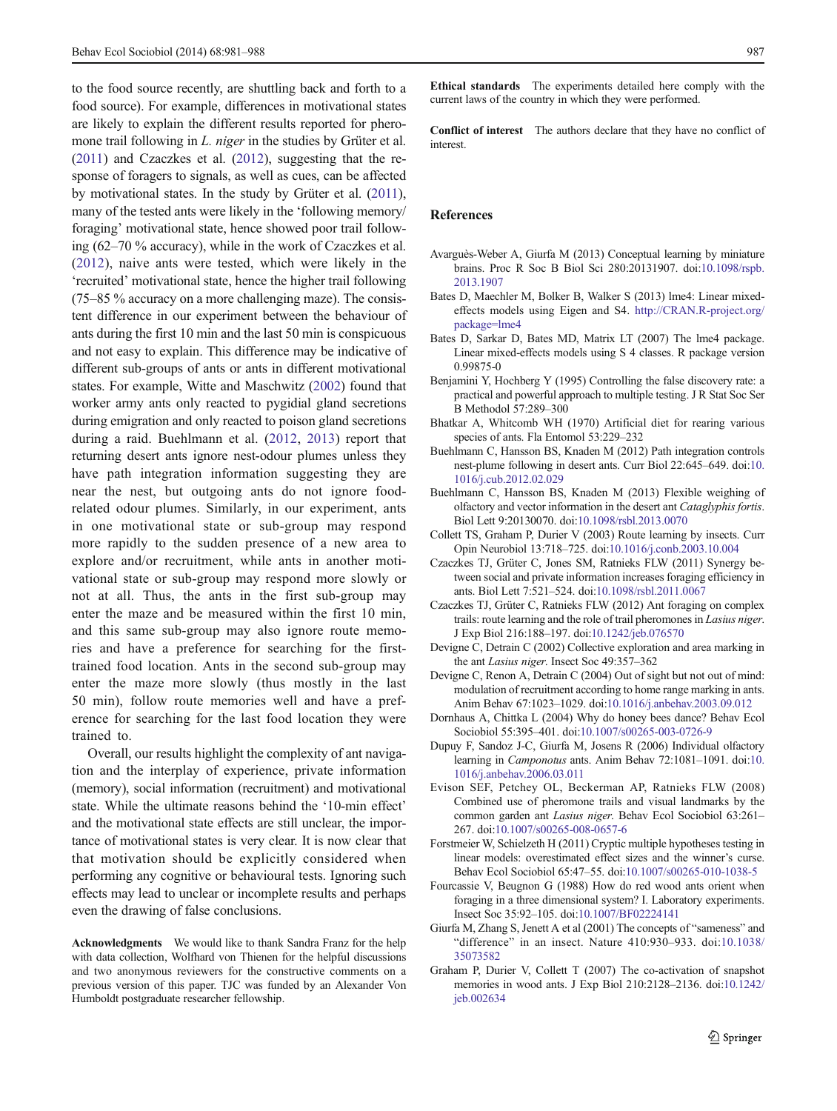<span id="page-6-0"></span>to the food source recently, are shuttling back and forth to a food source). For example, differences in motivational states are likely to explain the different results reported for pheromone trail following in *L. niger* in the studies by Grüter et al. [\(2011\)](#page-7-0) and Czaczkes et al. (2012), suggesting that the response of foragers to signals, as well as cues, can be affected by motivational states. In the study by Grüter et al. [\(2011\)](#page-7-0), many of the tested ants were likely in the 'following memory/ foraging' motivational state, hence showed poor trail following (62–70 % accuracy), while in the work of Czaczkes et al. (2012), naive ants were tested, which were likely in the 'recruited' motivational state, hence the higher trail following (75–85 % accuracy on a more challenging maze). The consistent difference in our experiment between the behaviour of ants during the first 10 min and the last 50 min is conspicuous and not easy to explain. This difference may be indicative of different sub-groups of ants or ants in different motivational states. For example, Witte and Maschwitz [\(2002\)](#page-7-0) found that worker army ants only reacted to pygidial gland secretions during emigration and only reacted to poison gland secretions during a raid. Buehlmann et al. (2012, 2013) report that returning desert ants ignore nest-odour plumes unless they have path integration information suggesting they are near the nest, but outgoing ants do not ignore foodrelated odour plumes. Similarly, in our experiment, ants in one motivational state or sub-group may respond more rapidly to the sudden presence of a new area to explore and/or recruitment, while ants in another motivational state or sub-group may respond more slowly or not at all. Thus, the ants in the first sub-group may enter the maze and be measured within the first 10 min, and this same sub-group may also ignore route memories and have a preference for searching for the firsttrained food location. Ants in the second sub-group may enter the maze more slowly (thus mostly in the last 50 min), follow route memories well and have a preference for searching for the last food location they were trained to.

Overall, our results highlight the complexity of ant navigation and the interplay of experience, private information (memory), social information (recruitment) and motivational state. While the ultimate reasons behind the '10-min effect' and the motivational state effects are still unclear, the importance of motivational states is very clear. It is now clear that that motivation should be explicitly considered when performing any cognitive or behavioural tests. Ignoring such effects may lead to unclear or incomplete results and perhaps even the drawing of false conclusions.

Acknowledgments We would like to thank Sandra Franz for the help with data collection, Wolfhard von Thienen for the helpful discussions and two anonymous reviewers for the constructive comments on a previous version of this paper. TJC was funded by an Alexander Von Humboldt postgraduate researcher fellowship.

Ethical standards The experiments detailed here comply with the current laws of the country in which they were performed.

Conflict of interest The authors declare that they have no conflict of interest.

#### References

- Avarguès-Weber A, Giurfa M (2013) Conceptual learning by miniature brains. Proc R Soc B Biol Sci 280:20131907. doi[:10.1098/rspb.](http://dx.doi.org/10.1098/rspb.2013.1907) [2013.1907](http://dx.doi.org/10.1098/rspb.2013.1907)
- Bates D, Maechler M, Bolker B, Walker S (2013) lme4: Linear mixedeffects models using Eigen and S4. [http://CRAN.R-project.org/](http://CRAN.R-project.org/package=lme4.) [package=lme4](http://CRAN.R-project.org/package=lme4.)
- Bates D, Sarkar D, Bates MD, Matrix LT (2007) The lme4 package. Linear mixed-effects models using S 4 classes. R package version 0.99875-0
- Benjamini Y, Hochberg Y (1995) Controlling the false discovery rate: a practical and powerful approach to multiple testing. J R Stat Soc Ser B Methodol 57:289–300
- Bhatkar A, Whitcomb WH (1970) Artificial diet for rearing various species of ants. Fla Entomol 53:229–232
- Buehlmann C, Hansson BS, Knaden M (2012) Path integration controls nest-plume following in desert ants. Curr Biol 22:645–649. doi[:10.](http://dx.doi.org/10.1016/j.cub.2012.02.029) [1016/j.cub.2012.02.029](http://dx.doi.org/10.1016/j.cub.2012.02.029)
- Buehlmann C, Hansson BS, Knaden M (2013) Flexible weighing of olfactory and vector information in the desert ant Cataglyphis fortis. Biol Lett 9:20130070. doi[:10.1098/rsbl.2013.0070](http://dx.doi.org/10.1098/rsbl.2013.0070)
- Collett TS, Graham P, Durier V (2003) Route learning by insects. Curr Opin Neurobiol 13:718–725. doi:[10.1016/j.conb.2003.10.004](http://dx.doi.org/10.1016/j.conb.2003.10.004)
- Czaczkes TJ, Grüter C, Jones SM, Ratnieks FLW (2011) Synergy between social and private information increases foraging efficiency in ants. Biol Lett 7:521–524. doi[:10.1098/rsbl.2011.0067](http://dx.doi.org/10.1098/rsbl.2011.0067)
- Czaczkes TJ, Grüter C, Ratnieks FLW (2012) Ant foraging on complex trails: route learning and the role of trail pheromones in Lasius niger. J Exp Biol 216:188–197. doi[:10.1242/jeb.076570](http://dx.doi.org/10.1242/jeb.076570)
- Devigne C, Detrain C (2002) Collective exploration and area marking in the ant Lasius niger. Insect Soc 49:357–362
- Devigne C, Renon A, Detrain C (2004) Out of sight but not out of mind: modulation of recruitment according to home range marking in ants. Anim Behav 67:1023–1029. doi[:10.1016/j.anbehav.2003.09.012](http://dx.doi.org/10.1016/j.anbehav.2003.09.012)
- Dornhaus A, Chittka L (2004) Why do honey bees dance? Behav Ecol Sociobiol 55:395–401. doi[:10.1007/s00265-003-0726-9](http://dx.doi.org/10.1007/s00265-003-0726-9)
- Dupuy F, Sandoz J-C, Giurfa M, Josens R (2006) Individual olfactory learning in Camponotus ants. Anim Behav 72:1081-1091. doi[:10.](http://dx.doi.org/10.1016/j.anbehav.2006.03.011) [1016/j.anbehav.2006.03.011](http://dx.doi.org/10.1016/j.anbehav.2006.03.011)
- Evison SEF, Petchey OL, Beckerman AP, Ratnieks FLW (2008) Combined use of pheromone trails and visual landmarks by the common garden ant Lasius niger. Behav Ecol Sociobiol 63:261– 267. doi[:10.1007/s00265-008-0657-6](http://dx.doi.org/10.1007/s00265-008-0657-6)
- Forstmeier W, Schielzeth H (2011) Cryptic multiple hypotheses testing in linear models: overestimated effect sizes and the winner's curse. Behav Ecol Sociobiol 65:47–55. doi[:10.1007/s00265-010-1038-5](http://dx.doi.org/10.1007/s00265-010-1038-5)
- Fourcassie V, Beugnon G (1988) How do red wood ants orient when foraging in a three dimensional system? I. Laboratory experiments. Insect Soc 35:92–105. doi:[10.1007/BF02224141](http://dx.doi.org/10.1007/BF02224141)
- Giurfa M, Zhang S, Jenett A et al (2001) The concepts of "sameness" and "difference" in an insect. Nature 410:930–933. doi[:10.1038/](http://dx.doi.org/10.1038/35073582) [35073582](http://dx.doi.org/10.1038/35073582)
- Graham P, Durier V, Collett T (2007) The co-activation of snapshot memories in wood ants. J Exp Biol 210:2128–2136. doi[:10.1242/](http://dx.doi.org/10.1242/jeb.002634) [jeb.002634](http://dx.doi.org/10.1242/jeb.002634)